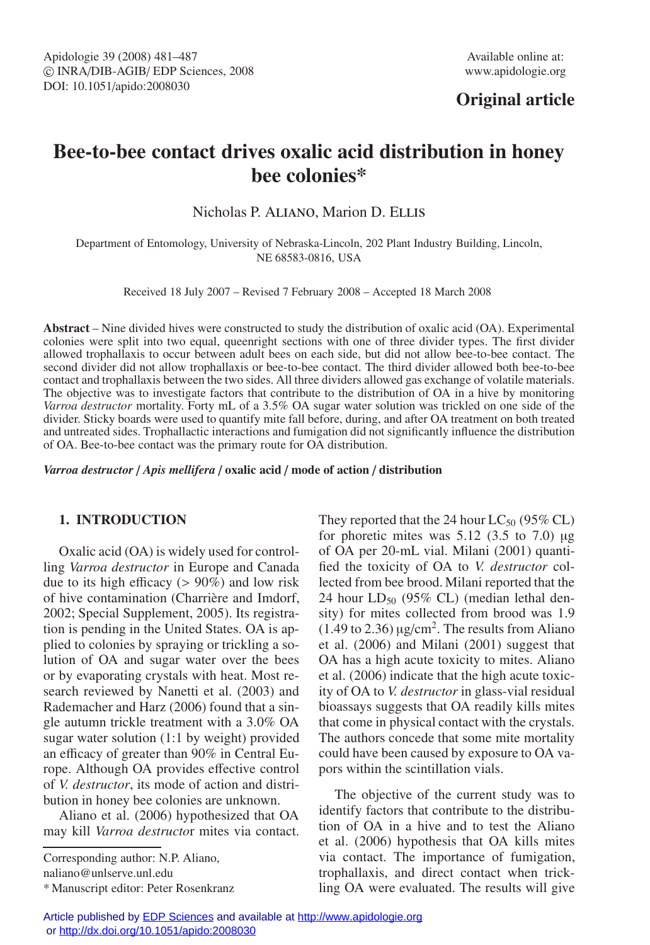## **Original article**

# **Bee-to-bee contact drives oxalic acid distribution in honey bee colonies\***

Nicholas P. Aliano, Marion D. Ellis

Department of Entomology, University of Nebraska-Lincoln, 202 Plant Industry Building, Lincoln, NE 68583-0816, USA

Received 18 July 2007 – Revised 7 February 2008 – Accepted 18 March 2008

**Abstract** – Nine divided hives were constructed to study the distribution of oxalic acid (OA). Experimental colonies were split into two equal, queenright sections with one of three divider types. The first divider allowed trophallaxis to occur between adult bees on each side, but did not allow bee-to-bee contact. The second divider did not allow trophallaxis or bee-to-bee contact. The third divider allowed both bee-to-bee contact and trophallaxis between the two sides. All three dividers allowed gas exchange of volatile materials. The objective was to investigate factors that contribute to the distribution of OA in a hive by monitoring *Varroa destructor* mortality. Forty mL of a 3.5% OA sugar water solution was trickled on one side of the divider. Sticky boards were used to quantify mite fall before, during, and after OA treatment on both treated and untreated sides. Trophallactic interactions and fumigation did not significantly influence the distribution of OA. Bee-to-bee contact was the primary route for OA distribution.

*Varroa destructor* / *Apis mellifera* / **oxalic acid** / **mode of action** / **distribution**

## **1. INTRODUCTION**

Oxalic acid (OA) is widely used for controlling *Varroa destructor* in Europe and Canada due to its high efficacy (> 90%) and low risk of hive contamination (Charrière and Imdorf, 2002; Special Supplement, 2005). Its registration is pending in the United States. OA is applied to colonies by spraying or trickling a solution of OA and sugar water over the bees or by evaporating crystals with heat. Most research reviewed by Nanetti et al. (2003) and Rademacher and Harz (2006) found that a single autumn trickle treatment with a 3.0% OA sugar water solution (1:1 by weight) provided an efficacy of greater than 90% in Central Europe. Although OA provides effective control of *V. destructor*, its mode of action and distribution in honey bee colonies are unknown.

Aliano et al. (2006) hypothesized that OA may kill *Varroa destructo*r mites via contact.

Corresponding author: N.P. Aliano, naliano@unlserve.unl.edu

\* Manuscript editor: Peter Rosenkranz

They reported that the 24 hour  $LC_{50}$  (95% CL) for phoretic mites was  $5.12$  (3.5 to 7.0) μg of OA per 20-mL vial. Milani (2001) quantified the toxicity of OA to *V. destructor* collected from bee brood. Milani reported that the 24 hour  $LD_{50}$  (95% CL) (median lethal density) for mites collected from brood was 1.9  $(1.49 \text{ to } 2.36) \mu g/cm^2$ . The results from Aliano et al. (2006) and Milani (2001) suggest that OA has a high acute toxicity to mites. Aliano et al. (2006) indicate that the high acute toxicity of OA to *V. destructor* in glass-vial residual bioassays suggests that OA readily kills mites that come in physical contact with the crystals. The authors concede that some mite mortality could have been caused by exposure to OA vapors within the scintillation vials.

The objective of the current study was to identify factors that contribute to the distribution of OA in a hive and to test the Aliano et al. (2006) hypothesis that OA kills mites via contact. The importance of fumigation, trophallaxis, and direct contact when trickling OA were evaluated. The results will give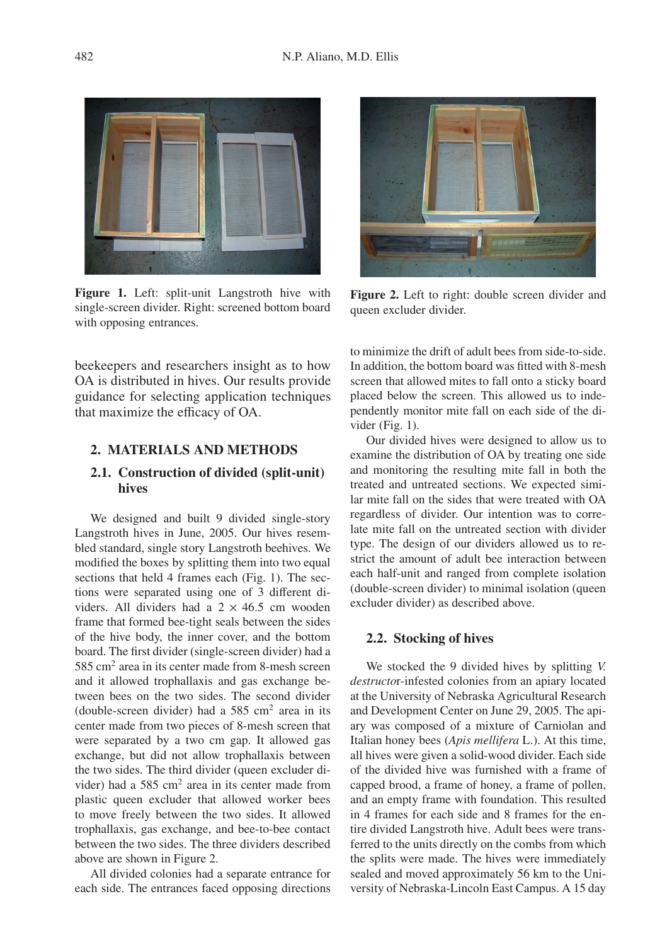

**Figure 1.** Left: split-unit Langstroth hive with single-screen divider. Right: screened bottom board with opposing entrances.



**Figure 2.** Left to right: double screen divider and queen excluder divider.

beekeepers and researchers insight as to how OA is distributed in hives. Our results provide guidance for selecting application techniques that maximize the efficacy of OA.

## **2. MATERIALS AND METHODS**

#### **2.1. Construction of divided (split-unit) hives**

We designed and built 9 divided single-story Langstroth hives in June, 2005. Our hives resembled standard, single story Langstroth beehives. We modified the boxes by splitting them into two equal sections that held 4 frames each (Fig. 1). The sections were separated using one of 3 different dividers. All dividers had a  $2 \times 46.5$  cm wooden frame that formed bee-tight seals between the sides of the hive body, the inner cover, and the bottom board. The first divider (single-screen divider) had a 585 cm2 area in its center made from 8-mesh screen and it allowed trophallaxis and gas exchange between bees on the two sides. The second divider (double-screen divider) had a  $585 \text{ cm}^2$  area in its center made from two pieces of 8-mesh screen that were separated by a two cm gap. It allowed gas exchange, but did not allow trophallaxis between the two sides. The third divider (queen excluder divider) had a  $585 \text{ cm}^2$  area in its center made from plastic queen excluder that allowed worker bees to move freely between the two sides. It allowed trophallaxis, gas exchange, and bee-to-bee contact between the two sides. The three dividers described above are shown in Figure 2.

All divided colonies had a separate entrance for each side. The entrances faced opposing directions

to minimize the drift of adult bees from side-to-side. In addition, the bottom board was fitted with 8-mesh screen that allowed mites to fall onto a sticky board placed below the screen. This allowed us to independently monitor mite fall on each side of the divider (Fig. 1).

Our divided hives were designed to allow us to examine the distribution of OA by treating one side and monitoring the resulting mite fall in both the treated and untreated sections. We expected similar mite fall on the sides that were treated with OA regardless of divider. Our intention was to correlate mite fall on the untreated section with divider type. The design of our dividers allowed us to restrict the amount of adult bee interaction between each half-unit and ranged from complete isolation (double-screen divider) to minimal isolation (queen excluder divider) as described above.

#### **2.2. Stocking of hives**

We stocked the 9 divided hives by splitting *V. destructo*r-infested colonies from an apiary located at the University of Nebraska Agricultural Research and Development Center on June 29, 2005. The apiary was composed of a mixture of Carniolan and Italian honey bees (*Apis mellifera* L.). At this time, all hives were given a solid-wood divider. Each side of the divided hive was furnished with a frame of capped brood, a frame of honey, a frame of pollen, and an empty frame with foundation. This resulted in 4 frames for each side and 8 frames for the entire divided Langstroth hive. Adult bees were transferred to the units directly on the combs from which the splits were made. The hives were immediately sealed and moved approximately 56 km to the University of Nebraska-Lincoln East Campus. A 15 day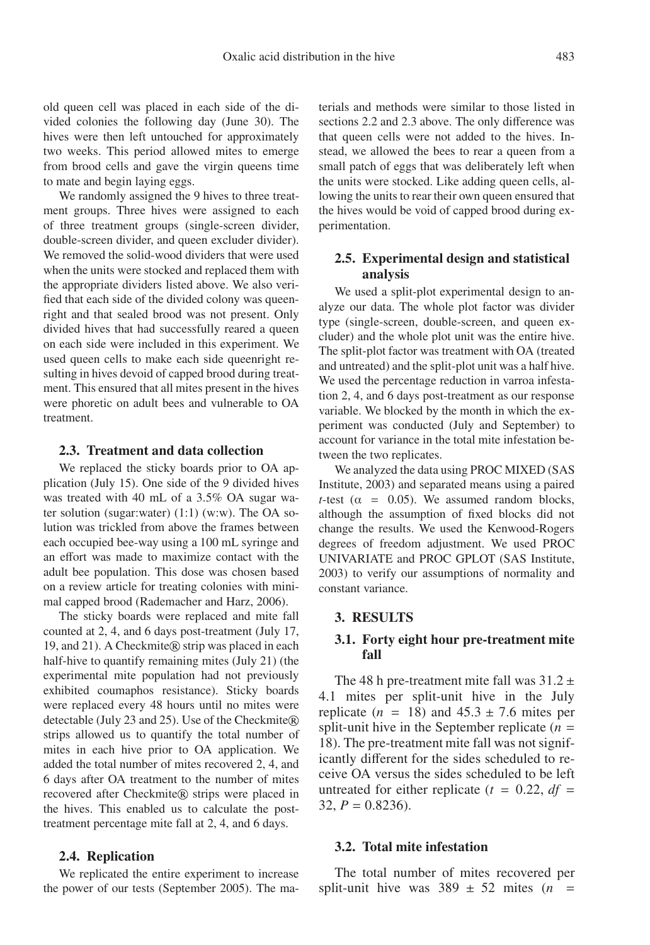old queen cell was placed in each side of the divided colonies the following day (June 30). The hives were then left untouched for approximately two weeks. This period allowed mites to emerge from brood cells and gave the virgin queens time to mate and begin laying eggs.

We randomly assigned the 9 hives to three treatment groups. Three hives were assigned to each of three treatment groups (single-screen divider, double-screen divider, and queen excluder divider). We removed the solid-wood dividers that were used when the units were stocked and replaced them with the appropriate dividers listed above. We also verified that each side of the divided colony was queenright and that sealed brood was not present. Only divided hives that had successfully reared a queen on each side were included in this experiment. We used queen cells to make each side queenright resulting in hives devoid of capped brood during treatment. This ensured that all mites present in the hives were phoretic on adult bees and vulnerable to OA treatment.

#### **2.3. Treatment and data collection**

We replaced the sticky boards prior to OA application (July 15). One side of the 9 divided hives was treated with 40 mL of a 3.5% OA sugar water solution (sugar:water) (1:1) (w:w). The OA solution was trickled from above the frames between each occupied bee-way using a 100 mL syringe and an effort was made to maximize contact with the adult bee population. This dose was chosen based on a review article for treating colonies with minimal capped brood (Rademacher and Harz, 2006).

The sticky boards were replaced and mite fall counted at 2, 4, and 6 days post-treatment (July 17, 19, and 21). A Checkmite® strip was placed in each half-hive to quantify remaining mites (July 21) (the experimental mite population had not previously exhibited coumaphos resistance). Sticky boards were replaced every 48 hours until no mites were detectable (July 23 and 25). Use of the Checkmite® strips allowed us to quantify the total number of mites in each hive prior to OA application. We added the total number of mites recovered 2, 4, and 6 days after OA treatment to the number of mites recovered after Checkmite® strips were placed in the hives. This enabled us to calculate the posttreatment percentage mite fall at 2, 4, and 6 days.

#### **2.4. Replication**

We replicated the entire experiment to increase the power of our tests (September 2005). The materials and methods were similar to those listed in sections 2.2 and 2.3 above. The only difference was that queen cells were not added to the hives. Instead, we allowed the bees to rear a queen from a small patch of eggs that was deliberately left when the units were stocked. Like adding queen cells, allowing the units to rear their own queen ensured that the hives would be void of capped brood during experimentation.

## **2.5. Experimental design and statistical analysis**

We used a split-plot experimental design to analyze our data. The whole plot factor was divider type (single-screen, double-screen, and queen excluder) and the whole plot unit was the entire hive. The split-plot factor was treatment with OA (treated and untreated) and the split-plot unit was a half hive. We used the percentage reduction in varroa infestation 2, 4, and 6 days post-treatment as our response variable. We blocked by the month in which the experiment was conducted (July and September) to account for variance in the total mite infestation between the two replicates.

We analyzed the data using PROC MIXED (SAS Institute, 2003) and separated means using a paired *t*-test ( $\alpha$  = 0.05). We assumed random blocks, although the assumption of fixed blocks did not change the results. We used the Kenwood-Rogers degrees of freedom adjustment. We used PROC UNIVARIATE and PROC GPLOT (SAS Institute, 2003) to verify our assumptions of normality and constant variance.

## **3. RESULTS**

#### **3.1. Forty eight hour pre-treatment mite fall**

The 48 h pre-treatment mite fall was  $31.2 \pm$ 4.1 mites per split-unit hive in the July replicate  $(n = 18)$  and  $45.3 \pm 7.6$  mites per split-unit hive in the September replicate  $(n =$ 18). The pre-treatment mite fall was not significantly different for the sides scheduled to receive OA versus the sides scheduled to be left untreated for either replicate  $(t = 0.22, df =$ 32,  $P = 0.8236$ ).

#### **3.2. Total mite infestation**

The total number of mites recovered per split-unit hive was  $389 \pm 52$  mites (*n* =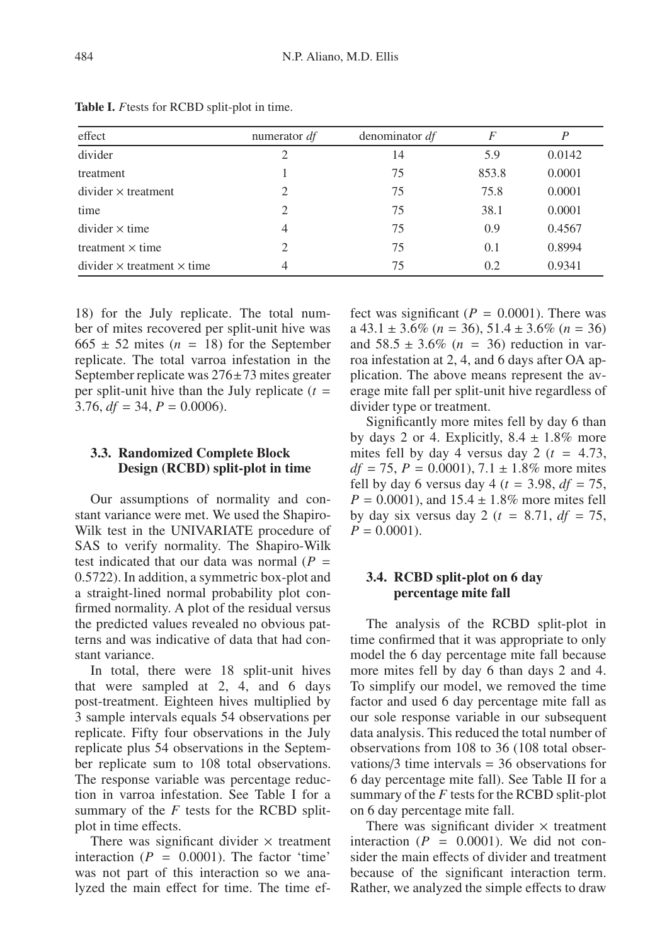| effect                                 | numerator $df$              | denominator df | F     |        |
|----------------------------------------|-----------------------------|----------------|-------|--------|
| divider                                | 2                           | 14             | 5.9   | 0.0142 |
| treatment                              |                             | 75             | 853.8 | 0.0001 |
| $divider \times treatment$             | 2                           | 75             | 75.8  | 0.0001 |
| time                                   | 2                           | 75             | 38.1  | 0.0001 |
| $divider \times time$                  | 4                           | 75             | 0.9   | 0.4567 |
| treatment $\times$ time                | $\mathcal{D}_{\mathcal{L}}$ | 75             | 0.1   | 0.8994 |
| $divider \times treatment \times time$ | 4                           | 75             | 0.2   | 0.9341 |

**Table I.** *F*tests for RCBD split-plot in time.

18) for the July replicate. The total number of mites recovered per split-unit hive was  $665 \pm 52$  mites (*n* = 18) for the September replicate. The total varroa infestation in the September replicate was 276±73 mites greater per split-unit hive than the July replicate  $(t =$ 3.76,  $df = 34$ ,  $P = 0.0006$ .

## **3.3. Randomized Complete Block Design (RCBD) split-plot in time**

Our assumptions of normality and constant variance were met. We used the Shapiro-Wilk test in the UNIVARIATE procedure of SAS to verify normality. The Shapiro-Wilk test indicated that our data was normal  $(P =$ 0.5722). In addition, a symmetric box-plot and a straight-lined normal probability plot confirmed normality. A plot of the residual versus the predicted values revealed no obvious patterns and was indicative of data that had constant variance.

In total, there were 18 split-unit hives that were sampled at 2, 4, and 6 days post-treatment. Eighteen hives multiplied by 3 sample intervals equals 54 observations per replicate. Fifty four observations in the July replicate plus 54 observations in the September replicate sum to 108 total observations. The response variable was percentage reduction in varroa infestation. See Table I for a summary of the *F* tests for the RCBD splitplot in time effects.

There was significant divider  $\times$  treatment interaction  $(P = 0.0001)$ . The factor 'time' was not part of this interaction so we analyzed the main effect for time. The time effect was significant  $(P = 0.0001)$ . There was a 43.1 ± 3.6% (*n* = 36), 51.4 ± 3.6% (*n* = 36) and  $58.5 \pm 3.6\%$  (*n* = 36) reduction in varroa infestation at 2, 4, and 6 days after OA application. The above means represent the average mite fall per split-unit hive regardless of divider type or treatment.

Significantly more mites fell by day 6 than by days 2 or 4. Explicitly,  $8.4 \pm 1.8\%$  more mites fell by day 4 versus day 2 ( $t = 4.73$ ,  $df = 75$ ,  $P = 0.0001$ ,  $7.1 \pm 1.8\%$  more mites fell by day 6 versus day 4 ( $t = 3.98$ ,  $df = 75$ ,  $P = 0.0001$ , and  $15.4 \pm 1.8\%$  more mites fell by day six versus day 2 ( $t = 8.71$ ,  $df = 75$ ,  $P = 0.0001$ .

## **3.4. RCBD split-plot on 6 day percentage mite fall**

The analysis of the RCBD split-plot in time confirmed that it was appropriate to only model the 6 day percentage mite fall because more mites fell by day 6 than days 2 and 4. To simplify our model, we removed the time factor and used 6 day percentage mite fall as our sole response variable in our subsequent data analysis. This reduced the total number of observations from 108 to 36 (108 total observations/3 time intervals = 36 observations for 6 day percentage mite fall). See Table II for a summary of the *F* tests for the RCBD split-plot on 6 day percentage mite fall.

There was significant divider  $\times$  treatment interaction  $(P = 0.0001)$ . We did not consider the main effects of divider and treatment because of the significant interaction term. Rather, we analyzed the simple effects to draw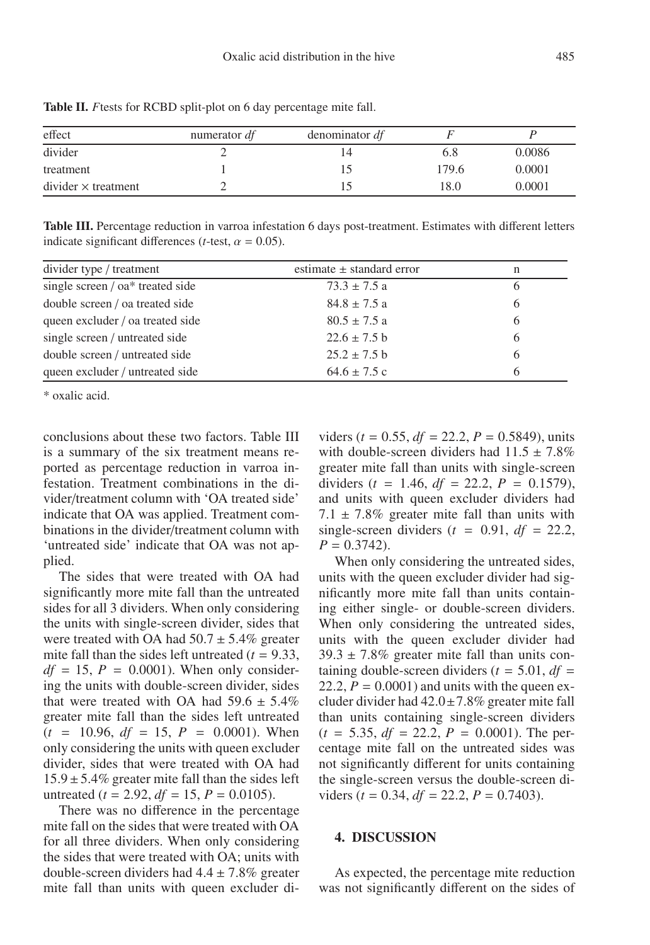| effect                     | numerator df | denominator df |       |        |
|----------------------------|--------------|----------------|-------|--------|
| divider                    |              |                | 6.8   | 0.0086 |
| treatment                  |              |                | 179.6 | 0.0001 |
| $divider \times treatment$ |              |                | 18.0  | 0.0001 |

**Table II.** *F*tests for RCBD split-plot on 6 day percentage mite fall.

**Table III.** Percentage reduction in varroa infestation 6 days post-treatment. Estimates with different letters indicate significant differences ( $t$ -test,  $\alpha = 0.05$ ).

| divider type / treatment         | estimate $\pm$ standard error | n |
|----------------------------------|-------------------------------|---|
| single screen / oa* treated side | $73.3 \pm 7.5$ a              | 6 |
| double screen / oa treated side  | $84.8 \pm 7.5$ a              | 6 |
| queen excluder / oa treated side | $80.5 \pm 7.5$ a              | 6 |
| single screen / untreated side   | $22.6 \pm 7.5$ b              | 6 |
| double screen / untreated side   | $25.2 \pm 7.5$ b              | 6 |
| queen excluder / untreated side  | $64.6 \pm 7.5$ c              | h |

\* oxalic acid.

conclusions about these two factors. Table III is a summary of the six treatment means reported as percentage reduction in varroa infestation. Treatment combinations in the divider/treatment column with 'OA treated side' indicate that OA was applied. Treatment combinations in the divider/treatment column with 'untreated side' indicate that OA was not applied.

The sides that were treated with OA had significantly more mite fall than the untreated sides for all 3 dividers. When only considering the units with single-screen divider, sides that were treated with OA had  $50.7 \pm 5.4\%$  greater mite fall than the sides left untreated  $(t = 9.33$ ,  $df = 15$ ,  $P = 0.0001$ ). When only considering the units with double-screen divider, sides that were treated with OA had  $59.6 \pm 5.4\%$ greater mite fall than the sides left untreated  $(t = 10.96, df = 15, P = 0.0001)$ . When only considering the units with queen excluder divider, sides that were treated with OA had  $15.9 \pm 5.4\%$  greater mite fall than the sides left untreated ( $t = 2.92$ ,  $df = 15$ ,  $P = 0.0105$ ).

There was no difference in the percentage mite fall on the sides that were treated with OA for all three dividers. When only considering the sides that were treated with OA; units with double-screen dividers had  $4.4 \pm 7.8\%$  greater mite fall than units with queen excluder dividers ( $t = 0.55$ ,  $df = 22.2$ ,  $P = 0.5849$ ), units with double-screen dividers had  $11.5 \pm 7.8\%$ greater mite fall than units with single-screen dividers ( $t = 1.46$ ,  $df = 22.2$ ,  $P = 0.1579$ ), and units with queen excluder dividers had 7.1  $\pm$  7.8% greater mite fall than units with single-screen dividers  $(t = 0.91, df = 22.2,$  $P = 0.3742$ .

When only considering the untreated sides, units with the queen excluder divider had significantly more mite fall than units containing either single- or double-screen dividers. When only considering the untreated sides, units with the queen excluder divider had  $39.3 \pm 7.8\%$  greater mite fall than units containing double-screen dividers ( $t = 5.01$ ,  $df =$ 22.2,  $P = 0.0001$ ) and units with the queen excluder divider had  $42.0 \pm 7.8\%$  greater mite fall than units containing single-screen dividers  $(t = 5.35, df = 22.2, P = 0.0001)$ . The percentage mite fall on the untreated sides was not significantly different for units containing the single-screen versus the double-screen dividers ( $t = 0.34$ ,  $df = 22.2$ ,  $P = 0.7403$ ).

#### **4. DISCUSSION**

As expected, the percentage mite reduction was not significantly different on the sides of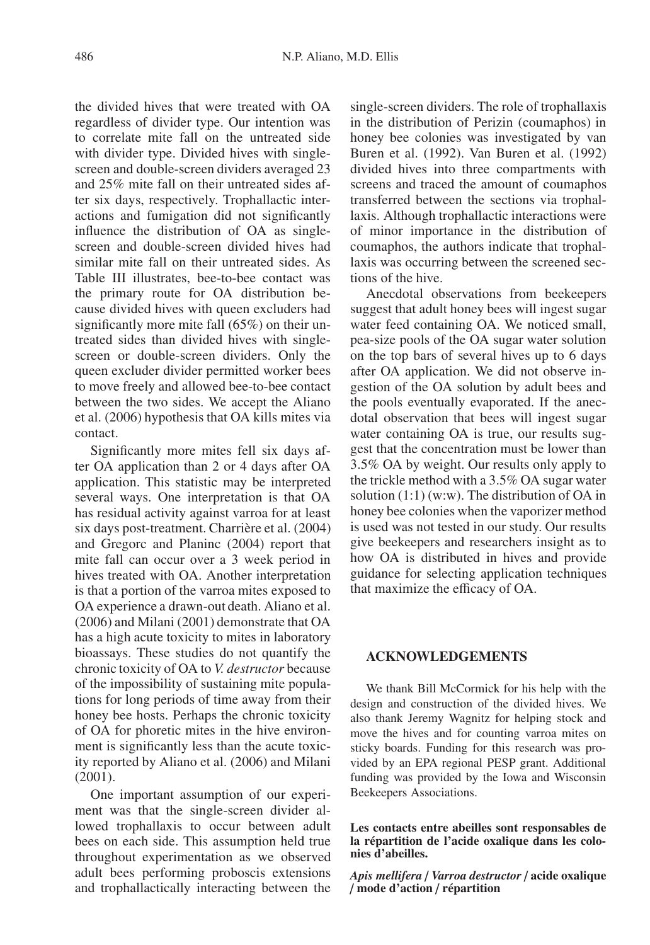the divided hives that were treated with OA regardless of divider type. Our intention was to correlate mite fall on the untreated side with divider type. Divided hives with singlescreen and double-screen dividers averaged 23 and 25% mite fall on their untreated sides after six days, respectively. Trophallactic interactions and fumigation did not significantly influence the distribution of OA as singlescreen and double-screen divided hives had similar mite fall on their untreated sides. As Table III illustrates, bee-to-bee contact was the primary route for OA distribution because divided hives with queen excluders had significantly more mite fall (65%) on their untreated sides than divided hives with singlescreen or double-screen dividers. Only the queen excluder divider permitted worker bees to move freely and allowed bee-to-bee contact between the two sides. We accept the Aliano et al. (2006) hypothesis that OA kills mites via contact.

Significantly more mites fell six days after OA application than 2 or 4 days after OA application. This statistic may be interpreted several ways. One interpretation is that OA has residual activity against varroa for at least six days post-treatment. Charrière et al. (2004) and Gregorc and Planinc (2004) report that mite fall can occur over a 3 week period in hives treated with OA. Another interpretation is that a portion of the varroa mites exposed to OA experience a drawn-out death. Aliano et al. (2006) and Milani (2001) demonstrate that OA has a high acute toxicity to mites in laboratory bioassays. These studies do not quantify the chronic toxicity of OA to *V. destructor* because of the impossibility of sustaining mite populations for long periods of time away from their honey bee hosts. Perhaps the chronic toxicity of OA for phoretic mites in the hive environment is significantly less than the acute toxicity reported by Aliano et al. (2006) and Milani (2001).

One important assumption of our experiment was that the single-screen divider allowed trophallaxis to occur between adult bees on each side. This assumption held true throughout experimentation as we observed adult bees performing proboscis extensions and trophallactically interacting between the single-screen dividers. The role of trophallaxis in the distribution of Perizin (coumaphos) in honey bee colonies was investigated by van Buren et al. (1992). Van Buren et al. (1992) divided hives into three compartments with screens and traced the amount of coumaphos transferred between the sections via trophallaxis. Although trophallactic interactions were of minor importance in the distribution of coumaphos, the authors indicate that trophallaxis was occurring between the screened sections of the hive.

Anecdotal observations from beekeepers suggest that adult honey bees will ingest sugar water feed containing OA. We noticed small, pea-size pools of the OA sugar water solution on the top bars of several hives up to 6 days after OA application. We did not observe ingestion of the OA solution by adult bees and the pools eventually evaporated. If the anecdotal observation that bees will ingest sugar water containing OA is true, our results suggest that the concentration must be lower than 3.5% OA by weight. Our results only apply to the trickle method with a 3.5% OA sugar water solution (1:1) (w:w). The distribution of OA in honey bee colonies when the vaporizer method is used was not tested in our study. Our results give beekeepers and researchers insight as to how OA is distributed in hives and provide guidance for selecting application techniques that maximize the efficacy of OA.

## **ACKNOWLEDGEMENTS**

We thank Bill McCormick for his help with the design and construction of the divided hives. We also thank Jeremy Wagnitz for helping stock and move the hives and for counting varroa mites on sticky boards. Funding for this research was provided by an EPA regional PESP grant. Additional funding was provided by the Iowa and Wisconsin Beekeepers Associations.

**Les contacts entre abeilles sont responsables de la répartition de l'acide oxalique dans les colonies d'abeilles.**